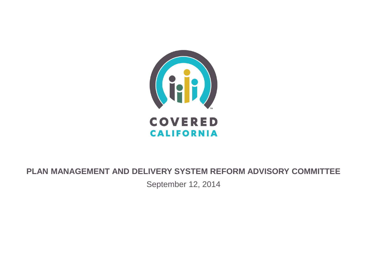

#### **PLAN MANAGEMENT AND DELIVERY SYSTEM REFORM ADVISORY COMMITTEE**

September 12, 2014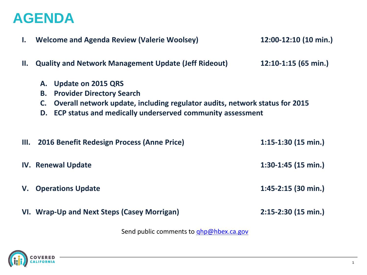#### **AGENDA**

| $\mathbf{I}$ . | <b>Welcome and Agenda Review (Valerie Woolsey)</b>                                                                                                                                                                          | 12:00-12:10 (10 min.)  |
|----------------|-----------------------------------------------------------------------------------------------------------------------------------------------------------------------------------------------------------------------------|------------------------|
| II.            | <b>Quality and Network Management Update (Jeff Rideout)</b>                                                                                                                                                                 | $12:10-1:15$ (65 min.) |
|                | A. Update on 2015 QRS<br><b>Provider Directory Search</b><br><b>B.</b><br>Overall network update, including regulator audits, network status for 2015<br>C.<br>D. ECP status and medically underserved community assessment |                        |
|                | III. 2016 Benefit Redesign Process (Anne Price)                                                                                                                                                                             | $1:15-1:30$ (15 min.)  |
|                | $1:30-1:45$ (15 min.)<br><b>IV. Renewal Update</b>                                                                                                                                                                          |                        |
|                | $1:45-2:15$ (30 min.)<br><b>V.</b> Operations Update                                                                                                                                                                        |                        |
|                | VI. Wrap-Up and Next Steps (Casey Morrigan)                                                                                                                                                                                 | $2:15-2:30$ (15 min.)  |

Send public comments to **ghp@hbex.ca.gov** 

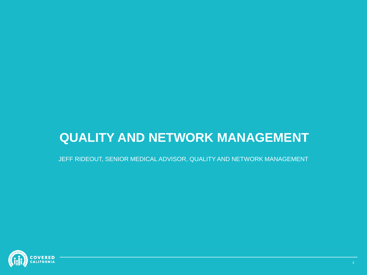#### **QUALITY AND NETWORK MANAGEMENT**

JEFF RIDEOUT, SENIOR MEDICAL ADVISOR, QUALITY AND NETWORK MANAGEMENT

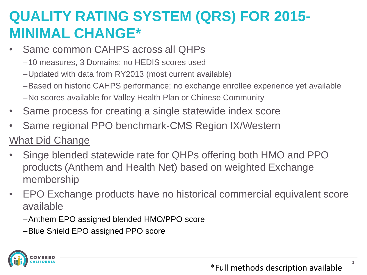### **QUALITY RATING SYSTEM (QRS) FOR 2015- MINIMAL CHANGE\***

- Same common CAHPS across all QHPs
	- –10 measures, 3 Domains; no HEDIS scores used
	- –Updated with data from RY2013 (most current available)
	- –Based on historic CAHPS performance; no exchange enrollee experience yet available
	- –No scores available for Valley Health Plan or Chinese Community
- Same process for creating a single statewide index score
- Same regional PPO benchmark-CMS Region IX/Western

#### What Did Change

- Singe blended statewide rate for QHPs offering both HMO and PPO products (Anthem and Health Net) based on weighted Exchange membership
- EPO Exchange products have no historical commercial equivalent score available
	- –Anthem EPO assigned blended HMO/PPO score
	- –Blue Shield EPO assigned PPO score



**3**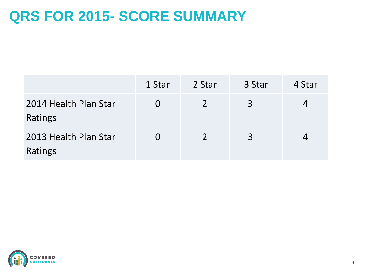#### **QRS FOR 2015- SCORE SUMMARY**

|                                  | 1 Star   | 2 Star        | 3 Star | 4 Star |
|----------------------------------|----------|---------------|--------|--------|
| 2014 Health Plan Star<br>Ratings | $\Omega$ | $\mathcal{P}$ | 3      |        |
| 2013 Health Plan Star<br>Ratings | $\Omega$ | $\mathcal{D}$ | 3      |        |

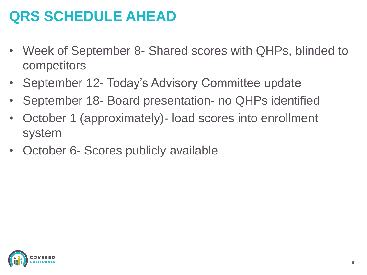## **QRS SCHEDULE AHEAD**

- Week of September 8- Shared scores with QHPs, blinded to competitors
- September 12- Today's Advisory Committee update
- September 18- Board presentation- no QHPs identified
- October 1 (approximately)- load scores into enrollment system
- October 6- Scores publicly available

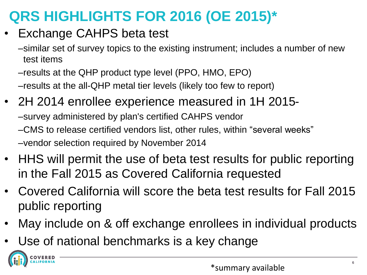## **QRS HIGHLIGHTS FOR 2016 (OE 2015)\***

- Exchange CAHPS beta test
	- –similar set of survey topics to the existing instrument; includes a number of new test items
	- –results at the QHP product type level (PPO, HMO, EPO) –results at the all-QHP metal tier levels (likely too few to report)
- 2H 2014 enrollee experience measured in 1H 2015- –survey administered by plan's certified CAHPS vendor –CMS to release certified vendors list, other rules, within "several weeks" –vendor selection required by November 2014
- HHS will permit the use of beta test results for public reporting in the Fall 2015 as Covered California requested
- Covered California will score the beta test results for Fall 2015 public reporting
- May include on & off exchange enrollees in individual products
- Use of national benchmarks is a key change

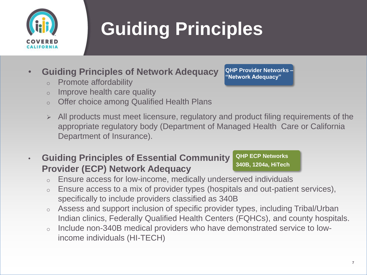

# **Guiding Principles**

- **Guiding Principles of Network Adequacy** 
	- o Promote affordability
	- o Improve health care quality
	- o Offer choice among Qualified Health Plans
	- $\triangleright$  All products must meet licensure, regulatory and product filing requirements of the appropriate regulatory body (Department of Managed Health Care or California Department of Insurance).
- **Guiding Principles of Essential Community Provider (ECP) Network Adequacy**

**QHP ECP Networks 340B, 1204a, HiTech**

**QHP Provider Networks – "Network Adequacy"**

- o Ensure access for low-income, medically underserved individuals
- o Ensure access to a mix of provider types (hospitals and out-patient services), specifically to include providers classified as 340B
- o Assess and support inclusion of specific provider types, including Tribal/Urban Indian clinics, Federally Qualified Health Centers (FQHCs), and county hospitals.
- o Include non-340B medical providers who have demonstrated service to lowincome individuals (HI-TECH)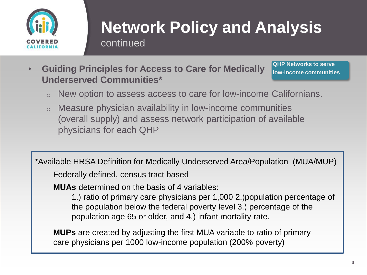

# **Network Policy and Analysis**

continued

• **Guiding Principles for Access to Care for Medically Underserved Communities\***

**QHP Networks to serve low-income communities**

- o New option to assess access to care for low-income Californians.
- o Measure physician availability in low-income communities (overall supply) and assess network participation of available physicians for each QHP

\*Available HRSA Definition for Medically Underserved Area/Population (MUA/MUP)

Federally defined, census tract based

**MUAs** determined on the basis of 4 variables:

1.) ratio of primary care physicians per 1,000 2.)population percentage of the population below the federal poverty level 3.) percentage of the population age 65 or older, and 4.) infant mortality rate.

**MUPs** are created by adjusting the first MUA variable to ratio of primary care physicians per 1000 low-income population (200% poverty)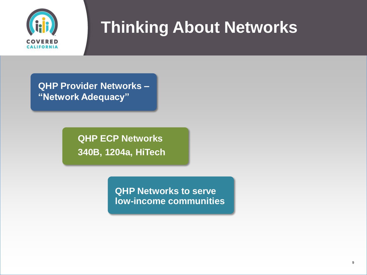

**QHP Provider Networks – "Network Adequacy"**

> **QHP ECP Networks 340B, 1204a, HiTech**

> > **QHP Networks to serve low-income communities**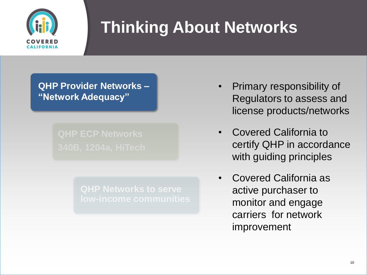

**QHP Provider Networks – "Network Adequacy"**

- Primary responsibility of Regulators to assess and license products/networks
- Covered California to certify QHP in accordance with guiding principles
- Covered California as active purchaser to monitor and engage carriers for network improvement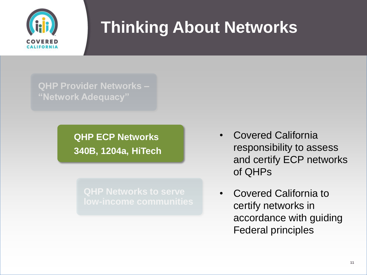

**QHP Provider Networks – "Network Adequacy"**

> **QHP ECP Networks 340B, 1204a, HiTech**

- Covered California responsibility to assess and certify ECP networks of QHPs
- Covered California to certify networks in accordance with guiding Federal principles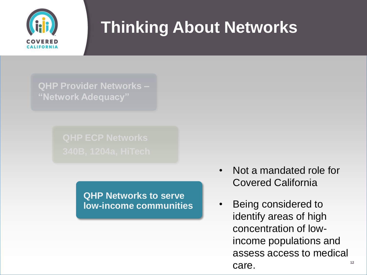

**QHP Provider Networks – "Network Adequacy"**

**QHP Networks to serve low-income communities**

- Not a mandated role for Covered California
- **12** • Being considered to identify areas of high concentration of lowincome populations and assess access to medical care.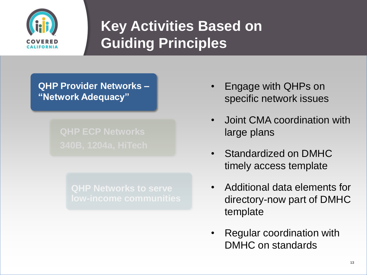

## **Key Activities Based on Guiding Principles**

**QHP Provider Networks – "Network Adequacy"**

- Engage with QHPs on specific network issues
- Joint CMA coordination with large plans
- Standardized on DMHC timely access template
- Additional data elements for directory-now part of DMHC template
- Regular coordination with DMHC on standards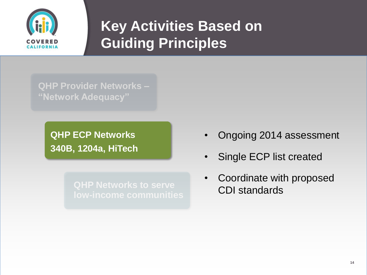

## **Key Activities Based on Guiding Principles**

**QHP Provider Networks – "Network Adequacy"**

> **QHP ECP Networks 340B, 1204a, HiTech**

- Ongoing 2014 assessment
- Single ECP list created
- Coordinate with proposed CDI standards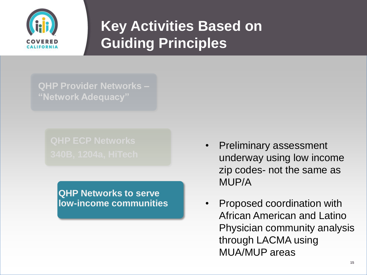

## **Key Activities Based on Guiding Principles**

**QHP Provider Networks – "Network Adequacy"**

**QHP Networks to serve low-income communities**

- Preliminary assessment underway using low income zip codes- not the same as MUP/A
- Proposed coordination with African American and Latino Physician community analysis through LACMA using MUA/MUP areas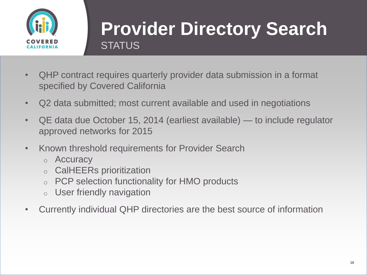

## **Provider Directory Search STATUS**

- QHP contract requires quarterly provider data submission in a format specified by Covered California
- Q2 data submitted; most current available and used in negotiations
- QE data due October 15, 2014 (earliest available) to include regulator approved networks for 2015
- Known threshold requirements for Provider Search
	- o Accuracy
	- o CalHEERs prioritization
	- o PCP selection functionality for HMO products
	- o User friendly navigation
- Currently individual QHP directories are the best source of information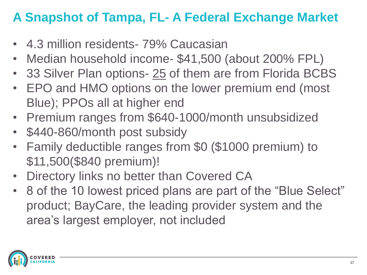#### **A Snapshot of Tampa, FL- A Federal Exchange Market**

- 4.3 million residents- 79% Caucasian
- Median household income- \$41,500 (about 200% FPL)
- 33 Silver Plan options- 25 of them are from Florida BCBS
- EPO and HMO options on the lower premium end (most Blue); PPOs all at higher end
- Premium ranges from \$640-1000/month unsubsidized
- \$440-860/month post subsidy
- Family deductible ranges from \$0 (\$1000 premium) to \$11,500(\$840 premium)!
- Directory links no better than Covered CA
- 8 of the 10 lowest priced plans are part of the "Blue Select" product; BayCare, the leading provider system and the area's largest employer, not included

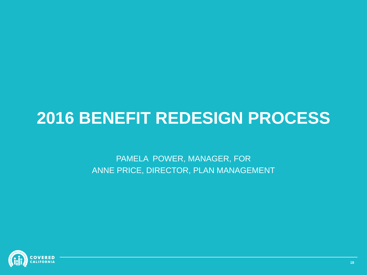# **2016 BENEFIT REDESIGN PROCESS**

PAMELA POWER, MANAGER, FOR ANNE PRICE, DIRECTOR, PLAN MANAGEMENT

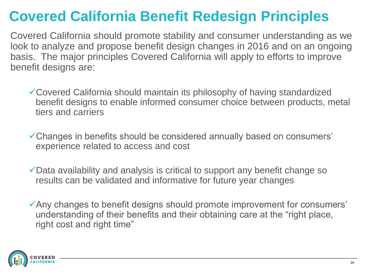## **Covered California Benefit Redesign Principles**

Covered California should promote stability and consumer understanding as we look to analyze and propose benefit design changes in 2016 and on an ongoing basis. The major principles Covered California will apply to efforts to improve benefit designs are:

- Covered California should maintain its philosophy of having standardized benefit designs to enable informed consumer choice between products, metal tiers and carriers
- Changes in benefits should be considered annually based on consumers' experience related to access and cost
- Data availability and analysis is critical to support any benefit change so results can be validated and informative for future year changes
- Any changes to benefit designs should promote improvement for consumers' understanding of their benefits and their obtaining care at the "right place, right cost and right time"

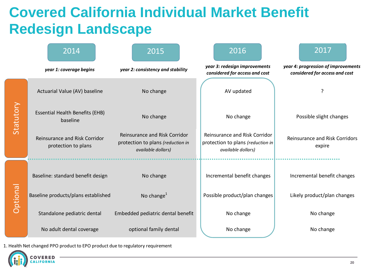#### **Covered California Individual Market Benefit Redesign Landscape**

|                 | 2014                                                 | 2015                                                                                     | 2016                                                                                            | 2017                                                                  |
|-----------------|------------------------------------------------------|------------------------------------------------------------------------------------------|-------------------------------------------------------------------------------------------------|-----------------------------------------------------------------------|
|                 | year 1: coverage begins                              | year 2: consistency and stability                                                        | year 3: redesign improvements<br>considered for access and cost                                 | year 4: progression of improvements<br>considered for access and cost |
| Statutory       | Actuarial Value (AV) baseline                        | No change                                                                                | AV updated                                                                                      | ?                                                                     |
|                 | <b>Essential Health Benefits (EHB)</b><br>baseline   | No change                                                                                | No change                                                                                       | Possible slight changes                                               |
|                 | Reinsurance and Risk Corridor<br>protection to plans | Reinsurance and Risk Corridor<br>protection to plans (reduction in<br>available dollars) | <b>Reinsurance and Risk Corridor</b><br>protection to plans (reduction in<br>available dollars) | <b>Reinsurance and Risk Corridors</b><br>expire                       |
| <b>Optional</b> | Baseline: standard benefit design                    | No change                                                                                | Incremental benefit changes                                                                     | Incremental benefit changes                                           |
|                 | Baseline products/plans established                  | No change $1$                                                                            | Possible product/plan changes                                                                   | Likely product/plan changes                                           |
|                 | Standalone pediatric dental                          | Embedded pediatric dental benefit                                                        | No change                                                                                       | No change                                                             |
|                 | No adult dental coverage                             | optional family dental                                                                   | No change                                                                                       | No change                                                             |

1. Health Net changed PPO product to EPO product due to regulatory requirement

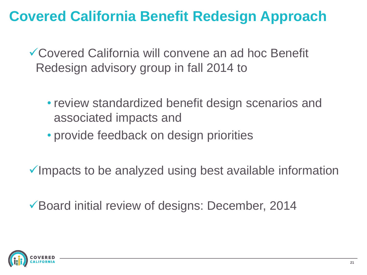#### **Covered California Benefit Redesign Approach**

Covered California will convene an ad hoc Benefit Redesign advisory group in fall 2014 to

- review standardized benefit design scenarios and associated impacts and
- provide feedback on design priorities

 $\checkmark$  Impacts to be analyzed using best available information

Board initial review of designs: December, 2014

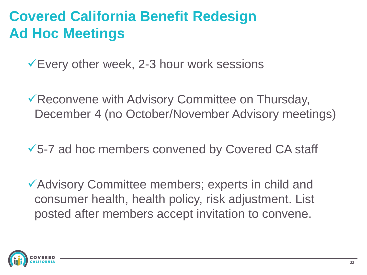### **Covered California Benefit Redesign Ad Hoc Meetings**

Every other week, 2-3 hour work sessions

Reconvene with Advisory Committee on Thursday, December 4 (no October/November Advisory meetings)

5-7 ad hoc members convened by Covered CA staff

Advisory Committee members; experts in child and consumer health, health policy, risk adjustment. List posted after members accept invitation to convene.

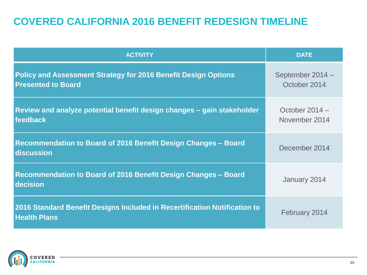#### **COVERED CALIFORNIA 2016 BENEFIT REDESIGN TIMELINE**

| <b>ACTIVITY</b>                                                                                    | <b>DATE</b>                      |
|----------------------------------------------------------------------------------------------------|----------------------------------|
| <b>Policy and Assessment Strategy for 2016 Benefit Design Options</b><br><b>Presented to Board</b> | September 2014 -<br>October 2014 |
| Review and analyze potential benefit design changes – gain stakeholder<br>feedback                 | October 2014 -<br>November 2014  |
| Recommendation to Board of 2016 Benefit Design Changes - Board<br>discussion                       | December 2014                    |
| Recommendation to Board of 2016 Benefit Design Changes - Board<br>decision                         | January 2014                     |
| 2016 Standard Benefit Designs Included in Recertification Notification to<br><b>Health Plans</b>   | February 2014                    |

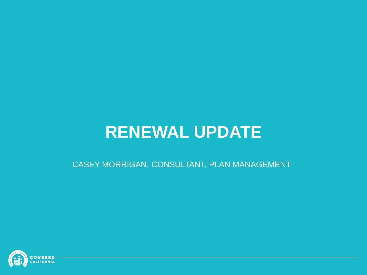## **RENEWAL UPDATE**

CASEY MORRIGAN, CONSULTANT, PLAN MANAGEMENT

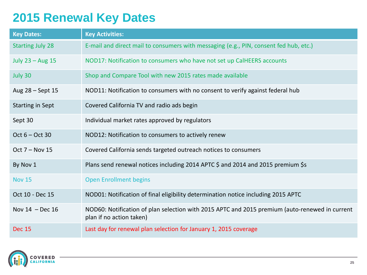#### **2015 Renewal Key Dates**

| <b>Key Dates:</b>       | <b>Key Activities:</b>                                                                                                     |
|-------------------------|----------------------------------------------------------------------------------------------------------------------------|
| <b>Starting July 28</b> | E-mail and direct mail to consumers with messaging (e.g., PIN, consent fed hub, etc.)                                      |
| July 23 - Aug 15        | NOD17: Notification to consumers who have not set up CalHEERS accounts                                                     |
| July 30                 | Shop and Compare Tool with new 2015 rates made available                                                                   |
| Aug 28 - Sept 15        | NOD11: Notification to consumers with no consent to verify against federal hub                                             |
| <b>Starting in Sept</b> | Covered California TV and radio ads begin                                                                                  |
| Sept 30                 | Individual market rates approved by regulators                                                                             |
| Oct $6 - Oct$ 30        | NOD12: Notification to consumers to actively renew                                                                         |
| Oct $7 - Nov 15$        | Covered California sends targeted outreach notices to consumers                                                            |
| By Nov 1                | Plans send renewal notices including 2014 APTC \$ and 2014 and 2015 premium \$s                                            |
| <b>Nov 15</b>           | <b>Open Enrollment begins</b>                                                                                              |
| Oct 10 - Dec 15         | NOD01: Notification of final eligibility determination notice including 2015 APTC                                          |
| Nov $14$ - Dec $16$     | NOD60: Notification of plan selection with 2015 APTC and 2015 premium (auto-renewed in current<br>plan if no action taken) |
| <b>Dec 15</b>           | Last day for renewal plan selection for January 1, 2015 coverage                                                           |

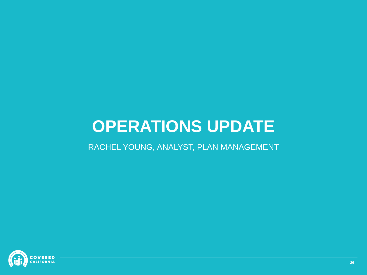## **OPERATIONS UPDATE**

RACHEL YOUNG, ANALYST, PLAN MANAGEMENT